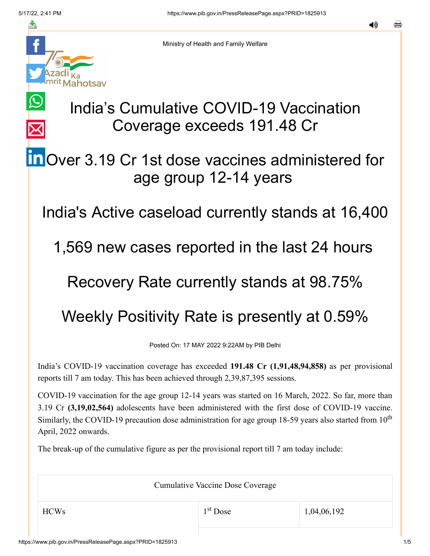$\bigcirc$ 

 $\overline{\times}$ 



Ministry of Health and Family Welfare

# India's Cumulative COVID-19 Vaccination Coverage exceeds 191.48 Cr

## **in** [O](https://www.linkedin.com/shareArticle?mini=true&url=https://pib.gov.in/PressReleasePage.aspx?PRID=1825913&title=India%E2%80%99s%20Cumulative%20COVID-19%20Vaccination%20Coverage%20exceeds%20191.48%20Cr&summary=My%20favorite%20developer%20program&source=LinkedIn)ver 3.19 Cr 1st dose vaccines administered for age group 12-14 years

India's Active caseload currently stands at 16,400

1,569 new cases reported in the last 24 hours

### Recovery Rate currently stands at 98.75%

## Weekly Positivity Rate is presently at 0.59%

Posted On: 17 MAY 2022 9:22AM by PIB Delhi

India's COVID-19 vaccination coverage has exceeded **191.48 Cr (1,91,48,94,858)** as per provisional reports till 7 am today. This has been achieved through 2,39,87,395 sessions.

COVID-19 vaccination for the age group 12-14 years was started on 16 March, 2022. So far, more than 3.19 Cr **(3,19,02,564)** adolescents have been administered with the first dose of COVID-19 vaccine. Similarly, the COVID-19 precaution dose administration for age group 18-59 years also started from  $10<sup>th</sup>$ April, 2022 onwards.

The break-up of the cumulative figure as per the provisional report till 7 am today include:

Cumulative Vaccine Dose Coverage

1<sup>st</sup> Dose

 $1^{\text{st}}$  Dose 1,04,06,192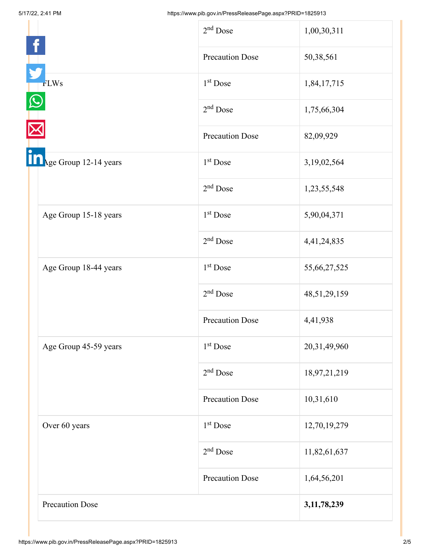|                        | $2nd$ Dose             | 1,00,30,311     |
|------------------------|------------------------|-----------------|
|                        | <b>Precaution Dose</b> | 50,38,561       |
| <b>FLWs</b>            | $1st$ Dose             | 1,84,17,715     |
|                        | $2nd$ Dose             | 1,75,66,304     |
|                        | <b>Precaution Dose</b> | 82,09,929       |
| Age Group 12-14 years  | 1 <sup>st</sup> Dose   | 3,19,02,564     |
|                        | $2nd$ Dose             | 1,23,55,548     |
| Age Group 15-18 years  | 1 <sup>st</sup> Dose   | 5,90,04,371     |
|                        | $2nd$ Dose             | 4,41,24,835     |
| Age Group 18-44 years  | 1 <sup>st</sup> Dose   | 55,66,27,525    |
|                        | $2nd$ Dose             | 48, 51, 29, 159 |
|                        | <b>Precaution Dose</b> | 4,41,938        |
| Age Group 45-59 years  | 1 <sup>st</sup> Dose   | 20,31,49,960    |
|                        | $2nd$ Dose             | 18,97,21,219    |
|                        | <b>Precaution Dose</b> | 10,31,610       |
| Over 60 years          | 1 <sup>st</sup> Dose   | 12,70,19,279    |
|                        | $2nd$ Dose             | 11,82,61,637    |
|                        | <b>Precaution Dose</b> | 1,64,56,201     |
| <b>Precaution Dose</b> |                        | 3,11,78,239     |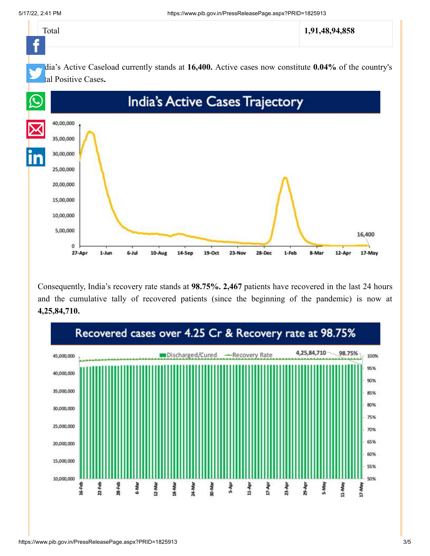

Consequently, India's recovery rate stands at **98.75%. 2,467** patients have recovered in the last 24 hours and the cumulative tally of recovered patients (since the beginning of the pandemic) is now at **4,25,84,710.**

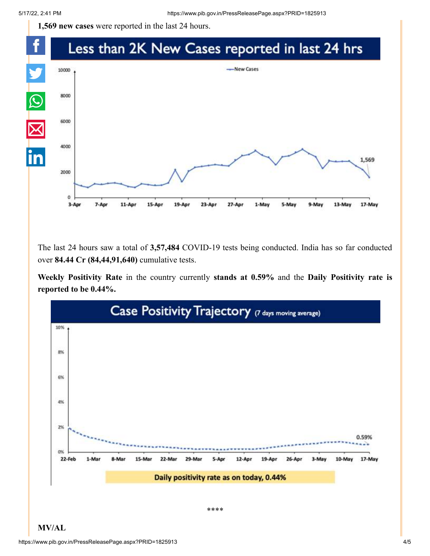**1,569 new cases** were reported in the last 24 hours.



The last 24 hours saw a total of **3,57,484** COVID-19 tests being conducted. India has so far conducted over **84.44 Cr (84,44,91,640)** cumulative tests.

**Weekly Positivity Rate** in the country currently **stands at 0.59%** and the **Daily Positivity rate is reported to be 0.44%.**